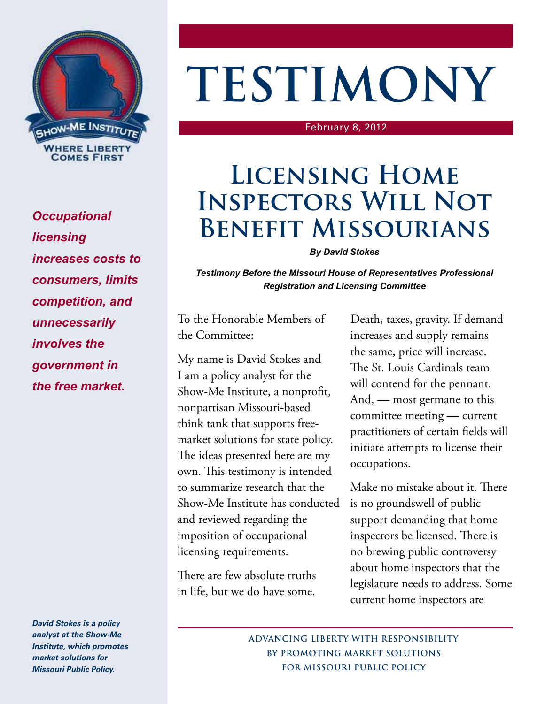

*Occupational licensing increases costs to consumers, limits competition, and unnecessarily involves the government in the free market.*

*David Stokes is a policy analyst at the Show-Me Institute, which promotes market solutions for Missouri Public Policy.*

# **TESTIMONY**

#### February 8, 2012

## **Licensing Home Inspectors Will Not Benefit Missourians**

### *By David Stokes*

*Testimony Before the Missouri House of Representatives Professional Registration and Licensing Committee*

To the Honorable Members of the Committee:

My name is David Stokes and I am a policy analyst for the Show-Me Institute, a nonprofit, nonpartisan Missouri-based think tank that supports freemarket solutions for state policy. The ideas presented here are my own. This testimony is intended to summarize research that the Show-Me Institute has conducted and reviewed regarding the imposition of occupational licensing requirements.

There are few absolute truths in life, but we do have some.

Death, taxes, gravity. If demand increases and supply remains the same, price will increase. The St. Louis Cardinals team will contend for the pennant. And, — most germane to this committee meeting — current practitioners of certain fields will initiate attempts to license their occupations.

Make no mistake about it. There is no groundswell of public support demanding that home inspectors be licensed. There is no brewing public controversy about home inspectors that the legislature needs to address. Some current home inspectors are

**ADVANCING LIBERTY WITH RESPONSIBILITY BY PROMOTING MARKET SOLUTIONS FOR MISSOURI PUBLIC POLICY**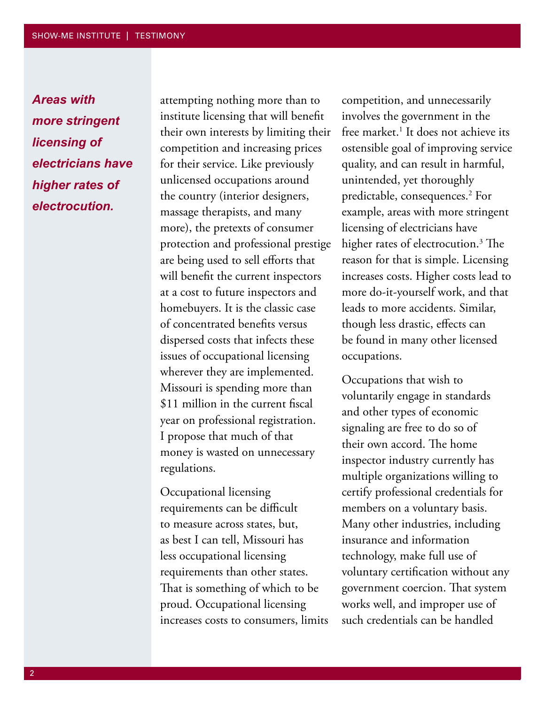*Areas with more stringent licensing of electricians have higher rates of electrocution.*

attempting nothing more than to institute licensing that will benefit their own interests by limiting their competition and increasing prices for their service. Like previously unlicensed occupations around the country (interior designers, massage therapists, and many more), the pretexts of consumer protection and professional prestige are being used to sell efforts that will benefit the current inspectors at a cost to future inspectors and homebuyers. It is the classic case of concentrated benefits versus dispersed costs that infects these issues of occupational licensing wherever they are implemented. Missouri is spending more than \$11 million in the current fiscal year on professional registration. I propose that much of that money is wasted on unnecessary regulations.

Occupational licensing requirements can be difficult to measure across states, but, as best I can tell, Missouri has less occupational licensing requirements than other states. That is something of which to be proud. Occupational licensing increases costs to consumers, limits

competition, and unnecessarily involves the government in the free market.<sup>1</sup> It does not achieve its ostensible goal of improving service quality, and can result in harmful, unintended, yet thoroughly predictable, consequences.2 For example, areas with more stringent licensing of electricians have higher rates of electrocution.3 The reason for that is simple. Licensing increases costs. Higher costs lead to more do-it-yourself work, and that leads to more accidents. Similar, though less drastic, effects can be found in many other licensed occupations.

Occupations that wish to voluntarily engage in standards and other types of economic signaling are free to do so of their own accord. The home inspector industry currently has multiple organizations willing to certify professional credentials for members on a voluntary basis. Many other industries, including insurance and information technology, make full use of voluntary certification without any government coercion. That system works well, and improper use of such credentials can be handled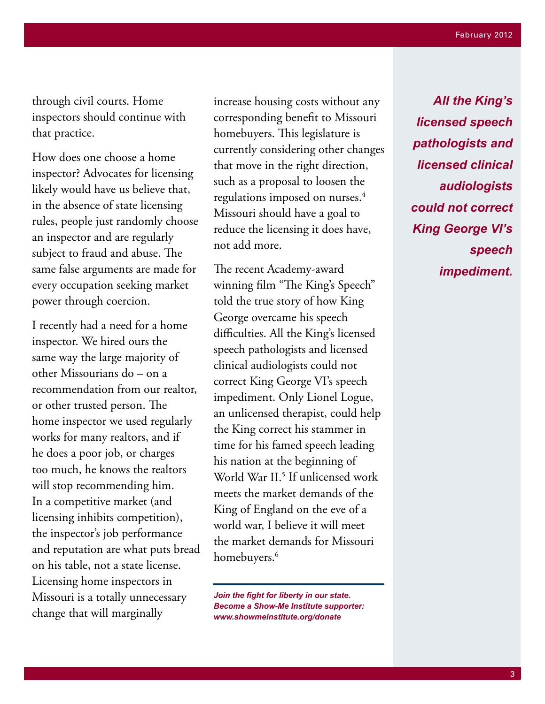through civil courts. Home inspectors should continue with that practice.

How does one choose a home inspector? Advocates for licensing likely would have us believe that, in the absence of state licensing rules, people just randomly choose an inspector and are regularly subject to fraud and abuse. The same false arguments are made for every occupation seeking market power through coercion.

I recently had a need for a home inspector. We hired ours the same way the large majority of other Missourians do – on a recommendation from our realtor, or other trusted person. The home inspector we used regularly works for many realtors, and if he does a poor job, or charges too much, he knows the realtors will stop recommending him. In a competitive market (and licensing inhibits competition), the inspector's job performance and reputation are what puts bread on his table, not a state license. Licensing home inspectors in Missouri is a totally unnecessary change that will marginally

increase housing costs without any corresponding benefit to Missouri homebuyers. This legislature is currently considering other changes that move in the right direction, such as a proposal to loosen the regulations imposed on nurses.<sup>4</sup> Missouri should have a goal to reduce the licensing it does have, not add more.

The recent Academy-award winning film "The King's Speech" told the true story of how King George overcame his speech difficulties. All the King's licensed speech pathologists and licensed clinical audiologists could not correct King George VI's speech impediment. Only Lionel Logue, an unlicensed therapist, could help the King correct his stammer in time for his famed speech leading his nation at the beginning of World War II.<sup>5</sup> If unlicensed work meets the market demands of the King of England on the eve of a world war, I believe it will meet the market demands for Missouri homebuyers.<sup>6</sup>

*Join the fight for liberty in our state. Become a Show-Me Institute supporter: www.showmeinstitute.org/donate*

*All the King's licensed speech pathologists and licensed clinical audiologists could not correct King George VI's speech impediment.*